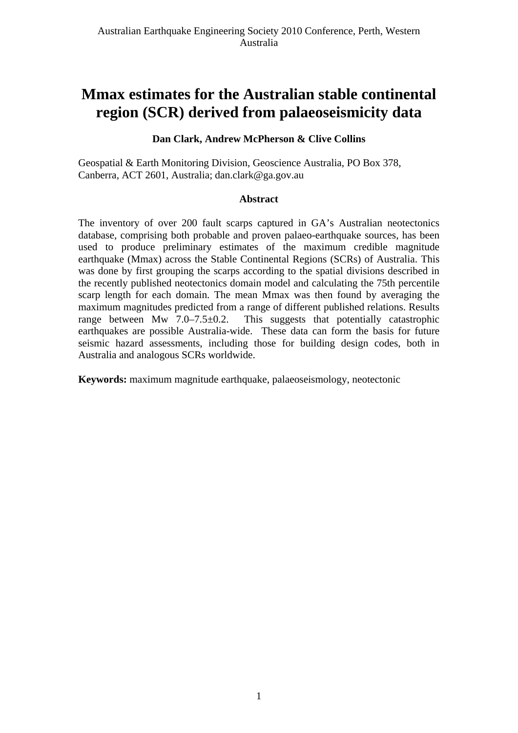# **Mmax estimates for the Australian stable continental region (SCR) derived from palaeoseismicity data**

### **Dan Clark, Andrew McPherson & Clive Collins**

Geospatial & Earth Monitoring Division, Geoscience Australia, PO Box 378, Canberra, ACT 2601, Australia; [dan.clark@ga.gov.au](mailto:dan.clark@ga.gov.au) 

#### **Abstract**

The inventory of over 200 fault scarps captured in GA's Australian neotectonics database, comprising both probable and proven palaeo-earthquake sources, has been used to produce preliminary estimates of the maximum credible magnitude earthquake (Mmax) across the Stable Continental Regions (SCRs) of Australia. This was done by first grouping the scarps according to the spatial divisions described in the recently published neotectonics domain model and calculating the 75th percentile scarp length for each domain. The mean Mmax was then found by averaging the maximum magnitudes predicted from a range of different published relations. Results range between Mw 7.0–7.5 $\pm$ 0.2. This suggests that potentially catastrophic earthquakes are possible Australia-wide. These data can form the basis for future seismic hazard assessments, including those for building design codes, both in Australia and analogous SCRs worldwide.

**Keywords:** maximum magnitude earthquake, palaeoseismology, neotectonic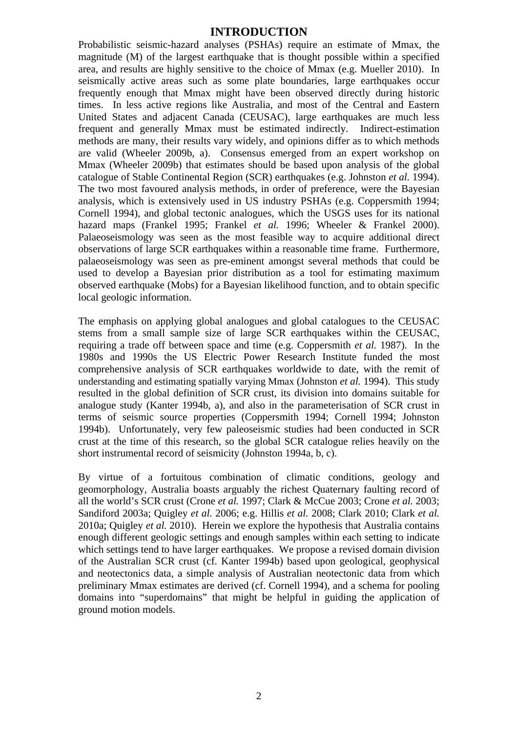### **INTRODUCTION**

Probabilistic seismic-hazard analyses (PSHAs) require an estimate of Mmax, the magnitude (M) of the largest earthquake that is thought possible within a specified area, and results are highly sensitive to the choice of Mmax (e.g. Mueller 2010). In seismically active areas such as some plate boundaries, large earthquakes occur frequently enough that Mmax might have been observed directly during historic times. In less active regions like Australia, and most of the Central and Eastern United States and adjacent Canada (CEUSAC), large earthquakes are much less frequent and generally Mmax must be estimated indirectly. Indirect-estimation methods are many, their results vary widely, and opinions differ as to which methods are valid (Wheeler 2009b, a). Consensus emerged from an expert workshop on Mmax (Wheeler 2009b) that estimates should be based upon analysis of the global catalogue of Stable Continental Region (SCR) earthquakes (e.g. Johnston *et al.* 1994). The two most favoured analysis methods, in order of preference, were the Bayesian analysis, which is extensively used in US industry PSHAs (e.g. Coppersmith 1994; Cornell 1994), and global tectonic analogues, which the USGS uses for its national hazard maps (Frankel 1995; Frankel *et al.* 1996; Wheeler & Frankel 2000). Palaeoseismology was seen as the most feasible way to acquire additional direct observations of large SCR earthquakes within a reasonable time frame. Furthermore, palaeoseismology was seen as pre-eminent amongst several methods that could be used to develop a Bayesian prior distribution as a tool for estimating maximum observed earthquake (Mobs) for a Bayesian likelihood function, and to obtain specific local geologic information.

The emphasis on applying global analogues and global catalogues to the CEUSAC stems from a small sample size of large SCR earthquakes within the CEUSAC, requiring a trade off between space and time (e.g. Coppersmith *et al.* 1987). In the 1980s and 1990s the US Electric Power Research Institute funded the most comprehensive analysis of SCR earthquakes worldwide to date, with the remit of understanding and estimating spatially varying Mmax (Johnston *et al.* 1994). This study resulted in the global definition of SCR crust, its division into domains suitable for analogue study (Kanter 1994b, a), and also in the parameterisation of SCR crust in terms of seismic source properties (Coppersmith 1994; Cornell 1994; Johnston 1994b). Unfortunately, very few paleoseismic studies had been conducted in SCR crust at the time of this research, so the global SCR catalogue relies heavily on the short instrumental record of seismicity (Johnston 1994a, b, c).

By virtue of a fortuitous combination of climatic conditions, geology and geomorphology, Australia boasts arguably the richest Quaternary faulting record of all the world's SCR crust (Crone *et al.* 1997; Clark & McCue 2003; Crone *et al.* 2003; Sandiford 2003a; Quigley *et al.* 2006; e.g. Hillis *et al.* 2008; Clark 2010; Clark *et al.* 2010a; Quigley *et al.* 2010). Herein we explore the hypothesis that Australia contains enough different geologic settings and enough samples within each setting to indicate which settings tend to have larger earthquakes. We propose a revised domain division of the Australian SCR crust (cf. Kanter 1994b) based upon geological, geophysical and neotectonics data, a simple analysis of Australian neotectonic data from which preliminary Mmax estimates are derived (cf. Cornell 1994), and a schema for pooling domains into "superdomains" that might be helpful in guiding the application of ground motion models.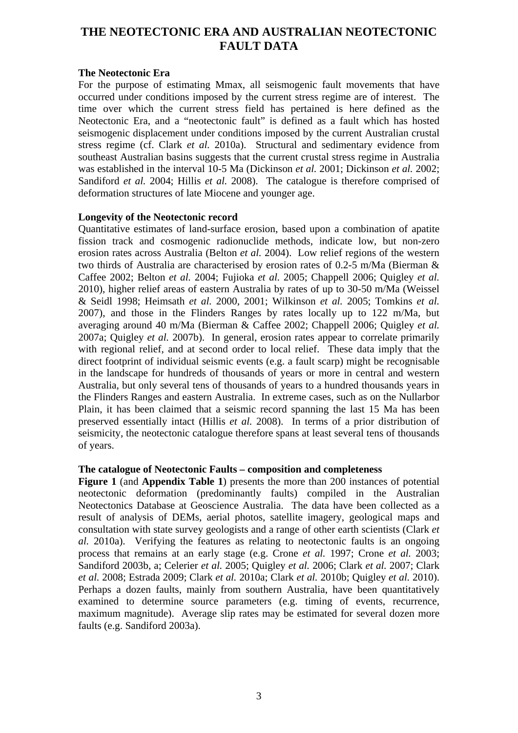# **THE NEOTECTONIC ERA AND AUSTRALIAN NEOTECTONIC FAULT DATA**

#### **The Neotectonic Era**

For the purpose of estimating Mmax, all seismogenic fault movements that have occurred under conditions imposed by the current stress regime are of interest. The time over which the current stress field has pertained is here defined as the Neotectonic Era, and a "neotectonic fault" is defined as a fault which has hosted seismogenic displacement under conditions imposed by the current Australian crustal stress regime (cf. Clark *et al.* 2010a). Structural and sedimentary evidence from southeast Australian basins suggests that the current crustal stress regime in Australia was established in the interval 10-5 Ma (Dickinson *et al.* 2001; Dickinson *et al.* 2002; Sandiford *et al.* 2004; Hillis *et al.* 2008). The catalogue is therefore comprised of deformation structures of late Miocene and younger age.

#### **Longevity of the Neotectonic record**

Quantitative estimates of land-surface erosion, based upon a combination of apatite fission track and cosmogenic radionuclide methods, indicate low, but non-zero erosion rates across Australia (Belton *et al.* 2004). Low relief regions of the western two thirds of Australia are characterised by erosion rates of 0.2-5 m/Ma (Bierman & Caffee 2002; Belton *et al.* 2004; Fujioka *et al.* 2005; Chappell 2006; Quigley *et al.* 2010), higher relief areas of eastern Australia by rates of up to 30-50 m/Ma (Weissel & Seidl 1998; Heimsath *et al.* 2000, 2001; Wilkinson *et al.* 2005; Tomkins *et al.* 2007), and those in the Flinders Ranges by rates locally up to 122 m/Ma, but averaging around 40 m/Ma (Bierman & Caffee 2002; Chappell 2006; Quigley *et al.* 2007a; Quigley *et al.* 2007b). In general, erosion rates appear to correlate primarily with regional relief, and at second order to local relief. These data imply that the direct footprint of individual seismic events (e.g. a fault scarp) might be recognisable in the landscape for hundreds of thousands of years or more in central and western Australia, but only several tens of thousands of years to a hundred thousands years in the Flinders Ranges and eastern Australia. In extreme cases, such as on the Nullarbor Plain, it has been claimed that a seismic record spanning the last 15 Ma has been preserved essentially intact (Hillis *et al.* 2008). In terms of a prior distribution of seismicity, the neotectonic catalogue therefore spans at least several tens of thousands of years.

#### **The catalogue of Neotectonic Faults – composition and completeness**

**Figure 1** (and **Appendix Table 1**) presents the more than 200 instances of potential neotectonic deformation (predominantly faults) compiled in the Australian Neotectonics Database at Geoscience Australia. The data have been collected as a result of analysis of DEMs, aerial photos, satellite imagery, geological maps and consultation with state survey geologists and a range of other earth scientists (Clark *et al.* 2010a). Verifying the features as relating to neotectonic faults is an ongoing process that remains at an early stage (e.g. Crone *et al.* 1997; Crone *et al.* 2003; Sandiford 2003b, a; Celerier *et al.* 2005; Quigley *et al.* 2006; Clark *et al.* 2007; Clark *et al.* 2008; Estrada 2009; Clark *et al.* 2010a; Clark *et al.* 2010b; Quigley *et al.* 2010). Perhaps a dozen faults, mainly from southern Australia, have been quantitatively examined to determine source parameters (e.g. timing of events, recurrence, maximum magnitude). Average slip rates may be estimated for several dozen more faults (e.g. Sandiford 2003a).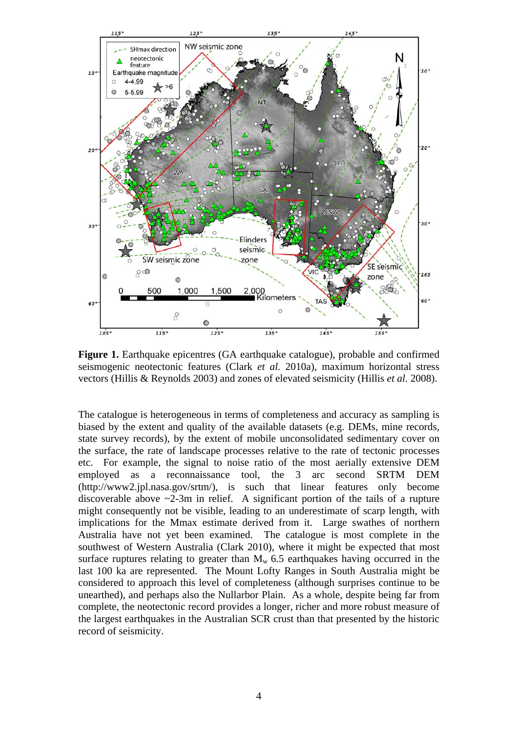

**Figure 1.** Earthquake epicentres (GA earthquake catalogue), probable and confirmed seismogenic neotectonic features (Clark *et al.* 2010a), maximum horizontal stress vectors (Hillis & Reynolds 2003) and zones of elevated seismicity (Hillis *et al.* 2008).

The catalogue is heterogeneous in terms of completeness and accuracy as sampling is biased by the extent and quality of the available datasets (e.g. DEMs, mine records, state survey records), by the extent of mobile unconsolidated sedimentary cover on the surface, the rate of landscape processes relative to the rate of tectonic processes etc. For example, the signal to noise ratio of the most aerially extensive DEM employed as a reconnaissance tool, the 3 arc second SRTM DEM (http://www2.jpl.nasa.gov/srtm/), is such that linear features only become discoverable above  $\sim$ 2-3m in relief. A significant portion of the tails of a rupture might consequently not be visible, leading to an underestimate of scarp length, with implications for the Mmax estimate derived from it. Large swathes of northern Australia have not yet been examined. The catalogue is most complete in the southwest of Western Australia (Clark 2010), where it might be expected that most surface ruptures relating to greater than  $M_w$  6.5 earthquakes having occurred in the last 100 ka are represented. The Mount Lofty Ranges in South Australia might be considered to approach this level of completeness (although surprises continue to be unearthed), and perhaps also the Nullarbor Plain. As a whole, despite being far from complete, the neotectonic record provides a longer, richer and more robust measure of the largest earthquakes in the Australian SCR crust than that presented by the historic record of seismicity.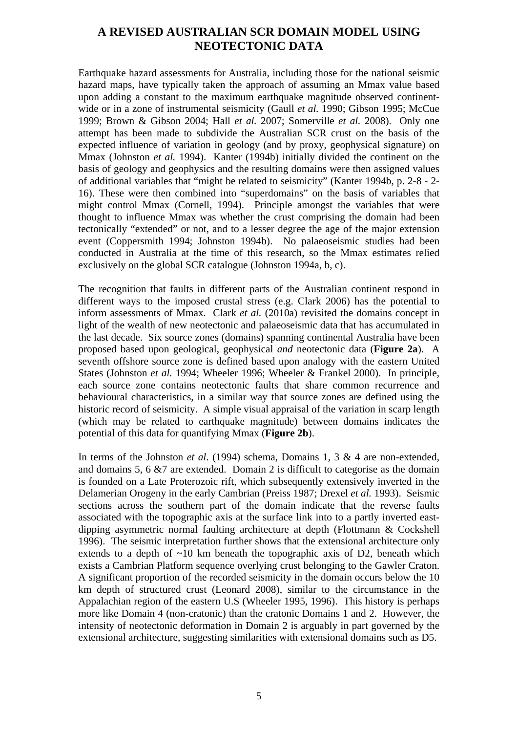# **A REVISED AUSTRALIAN SCR DOMAIN MODEL USING NEOTECTONIC DATA**

Earthquake hazard assessments for Australia, including those for the national seismic hazard maps, have typically taken the approach of assuming an Mmax value based upon adding a constant to the maximum earthquake magnitude observed continentwide or in a zone of instrumental seismicity (Gaull *et al.* 1990; Gibson 1995; McCue 1999; Brown & Gibson 2004; Hall *et al.* 2007; Somerville *et al.* 2008). Only one attempt has been made to subdivide the Australian SCR crust on the basis of the expected influence of variation in geology (and by proxy, geophysical signature) on Mmax (Johnston *et al.* 1994). Kanter (1994b) initially divided the continent on the basis of geology and geophysics and the resulting domains were then assigned values of additional variables that "might be related to seismicity" (Kanter 1994b, p. 2-8 - 2- 16). These were then combined into "superdomains" on the basis of variables that might control Mmax (Cornell, 1994). Principle amongst the variables that were thought to influence Mmax was whether the crust comprising the domain had been tectonically "extended" or not, and to a lesser degree the age of the major extension event (Coppersmith 1994; Johnston 1994b). No palaeoseismic studies had been conducted in Australia at the time of this research, so the Mmax estimates relied exclusively on the global SCR catalogue (Johnston 1994a, b, c).

The recognition that faults in different parts of the Australian continent respond in different ways to the imposed crustal stress (e.g. Clark 2006) has the potential to inform assessments of Mmax. Clark *et al.* (2010a) revisited the domains concept in light of the wealth of new neotectonic and palaeoseismic data that has accumulated in the last decade. Six source zones (domains) spanning continental Australia have been proposed based upon geological, geophysical *and* neotectonic data (**Figure 2a**). A seventh offshore source zone is defined based upon analogy with the eastern United States (Johnston *et al.* 1994; Wheeler 1996; Wheeler & Frankel 2000). In principle, each source zone contains neotectonic faults that share common recurrence and behavioural characteristics, in a similar way that source zones are defined using the historic record of seismicity. A simple visual appraisal of the variation in scarp length (which may be related to earthquake magnitude) between domains indicates the potential of this data for quantifying Mmax (**Figure 2b**).

In terms of the Johnston *et al*. (1994) schema, Domains 1, 3 & 4 are non-extended, and domains 5, 6 &7 are extended. Domain 2 is difficult to categorise as the domain is founded on a Late Proterozoic rift, which subsequently extensively inverted in the Delamerian Orogeny in the early Cambrian (Preiss 1987; Drexel *et al.* 1993). Seismic sections across the southern part of the domain indicate that the reverse faults associated with the topographic axis at the surface link into to a partly inverted eastdipping asymmetric normal faulting architecture at depth (Flottmann & Cockshell 1996). The seismic interpretation further shows that the extensional architecture only extends to a depth of  $~10$  km beneath the topographic axis of D2, beneath which exists a Cambrian Platform sequence overlying crust belonging to the Gawler Craton. A significant proportion of the recorded seismicity in the domain occurs below the 10 km depth of structured crust (Leonard 2008), similar to the circumstance in the Appalachian region of the eastern U.S (Wheeler 1995, 1996). This history is perhaps more like Domain 4 (non-cratonic) than the cratonic Domains 1 and 2. However, the intensity of neotectonic deformation in Domain 2 is arguably in part governed by the extensional architecture, suggesting similarities with extensional domains such as D5.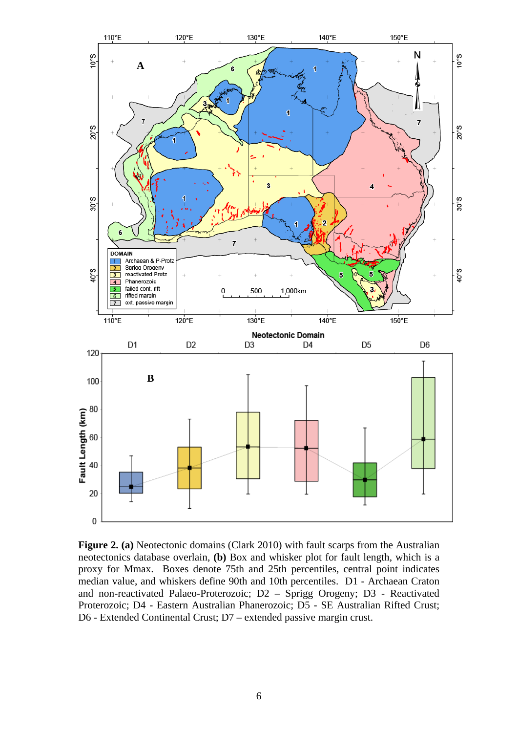

**Figure 2. (a)** Neotectonic domains (Clark 2010) with fault scarps from the Australian neotectonics database overlain, **(b)** Box and whisker plot for fault length, which is a proxy for Mmax. Boxes denote 75th and 25th percentiles, central point indicates median value, and whiskers define 90th and 10th percentiles. D1 - Archaean Craton and non-reactivated Palaeo-Proterozoic; D2 – Sprigg Orogeny; D3 - Reactivated Proterozoic; D4 - Eastern Australian Phanerozoic; D5 - SE Australian Rifted Crust; D6 - Extended Continental Crust; D7 – extended passive margin crust.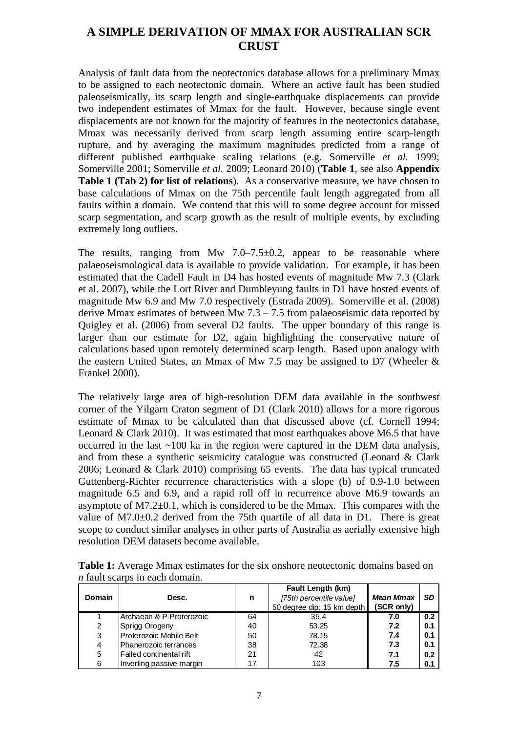# **A SIMPLE DERIVATION OF MMAX FOR AUSTRALIAN SCR CRUST**

Analysis of fault data from the neotectonics database allows for a preliminary Mmax to be assigned to each neotectonic domain. Where an active fault has been studied paleoseismically, its scarp length and single-earthquake displacements can provide two independent estimates of Mmax for the fault. However, because single event displacements are not known for the majority of features in the neotectonics database, Mmax was necessarily derived from scarp length assuming entire scarp-length rupture, and by averaging the maximum magnitudes predicted from a range of different published earthquake scaling relations (e.g. Somerville *et al.* 1999; Somerville 2001; Somerville *et al.* 2009; Leonard 2010) (**Table 1**, see also **Appendix Table 1 (Tab 2) for list of relations**). As a conservative measure, we have chosen to base calculations of Mmax on the 75th percentile fault length aggregated from all faults within a domain. We contend that this will to some degree account for missed scarp segmentation, and scarp growth as the result of multiple events, by excluding extremely long outliers.

The results, ranging from Mw  $7.0-7.5\pm0.2$ , appear to be reasonable where palaeoseismological data is available to provide validation. For example, it has been estimated that the Cadell Fault in D4 has hosted events of magnitude Mw 7.3 (Clark et al. 2007), while the Lort River and Dumbleyung faults in D1 have hosted events of magnitude Mw 6.9 and Mw 7.0 respectively (Estrada 2009). Somerville et al. (2008) derive Mmax estimates of between Mw 7.3 – 7.5 from palaeoseismic data reported by Quigley et al. (2006) from several D2 faults. The upper boundary of this range is larger than our estimate for D2, again highlighting the conservative nature of calculations based upon remotely determined scarp length. Based upon analogy with the eastern United States, an Mmax of Mw 7.5 may be assigned to D7 (Wheeler & Frankel 2000).

The relatively large area of high-resolution DEM data available in the southwest corner of the Yilgarn Craton segment of D1 (Clark 2010) allows for a more rigorous estimate of Mmax to be calculated than that discussed above (cf. Cornell 1994; Leonard & Clark 2010). It was estimated that most earthquakes above M6.5 that have occurred in the last  $\sim$ 100 ka in the region were captured in the DEM data analysis, and from these a synthetic seismicity catalogue was constructed (Leonard & Clark 2006; Leonard & Clark 2010) comprising 65 events. The data has typical truncated Guttenberg-Richter recurrence characteristics with a slope (b) of 0.9-1.0 between magnitude 6.5 and 6.9, and a rapid roll off in recurrence above M6.9 towards an asymptote of  $M7.2\pm0.1$ , which is considered to be the Mmax. This compares with the value of M7.0±0.2 derived from the 75th quartile of all data in D1. There is great scope to conduct similar analyses in other parts of Australia as aerially extensive high resolution DEM datasets become available.

| Domain | Desc.                    | n  | <b>Fault Length (km)</b><br>[75th percentile value]<br>50 degree dip; 15 km depth | <b>Mean Mmax</b><br>(SCR only) | <b>SD</b> |
|--------|--------------------------|----|-----------------------------------------------------------------------------------|--------------------------------|-----------|
|        | Archaean & P-Proterozoic | 64 | 35.4                                                                              | 7.0                            | 0.2       |
| 2      | Sprigg Orogeny           | 40 | 53.25                                                                             | 7.2                            | 0.1       |
| 3      | Proterozoic Mobile Belt  | 50 | 78.15                                                                             | 7.4                            | 0.1       |
| 4      | Phanerozoic terrances    | 38 | 72.38                                                                             | 7.3                            | 0.1       |
| 5      | Failed continental rift  | 21 | 42                                                                                | 7.1                            | 0.2       |
| 6      | Inverting passive margin | 17 | 103                                                                               | 7.5                            | 0.1       |

**Table 1:** Average Mmax estimates for the six onshore neotectonic domains based on *n* fault scarps in each domain.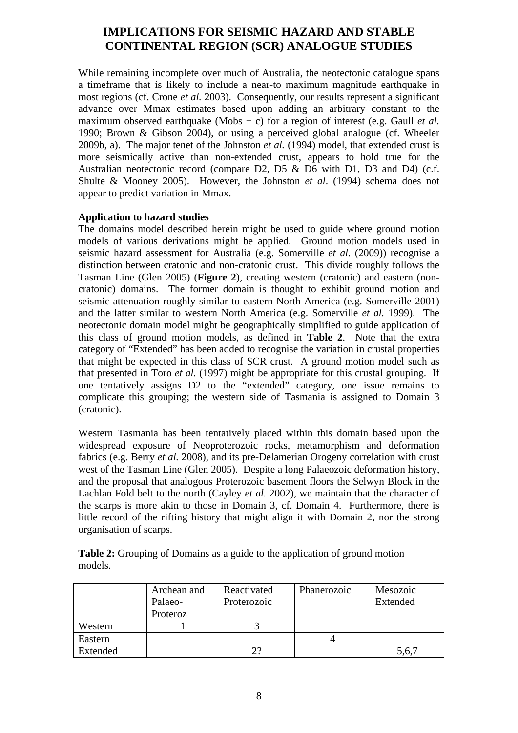# **IMPLICATIONS FOR SEISMIC HAZARD AND STABLE CONTINENTAL REGION (SCR) ANALOGUE STUDIES**

While remaining incomplete over much of Australia, the neotectonic catalogue spans a timeframe that is likely to include a near-to maximum magnitude earthquake in most regions (cf. Crone *et al.* 2003). Consequently, our results represent a significant advance over Mmax estimates based upon adding an arbitrary constant to the maximum observed earthquake (Mobs + c) for a region of interest (e.g. Gaull *et al.* 1990; Brown & Gibson 2004), or using a perceived global analogue (cf. Wheeler 2009b, a). The major tenet of the Johnston *et al.* (1994) model, that extended crust is more seismically active than non-extended crust, appears to hold true for the Australian neotectonic record (compare D2, D5 & D6 with D1, D3 and D4) (c.f. Shulte & Mooney 2005). However, the Johnston *et al*. (1994) schema does not appear to predict variation in Mmax.

### **Application to hazard studies**

The domains model described herein might be used to guide where ground motion models of various derivations might be applied. Ground motion models used in seismic hazard assessment for Australia (e.g. Somerville *et al*. (2009)) recognise a distinction between cratonic and non-cratonic crust. This divide roughly follows the Tasman Line (Glen 2005) (**Figure 2**), creating western (cratonic) and eastern (noncratonic) domains. The former domain is thought to exhibit ground motion and seismic attenuation roughly similar to eastern North America (e.g. Somerville 2001) and the latter similar to western North America (e.g. Somerville *et al.* 1999). The neotectonic domain model might be geographically simplified to guide application of this class of ground motion models, as defined in **Table 2**. Note that the extra category of "Extended" has been added to recognise the variation in crustal properties that might be expected in this class of SCR crust. A ground motion model such as that presented in Toro *et al.* (1997) might be appropriate for this crustal grouping. If one tentatively assigns D2 to the "extended" category, one issue remains to complicate this grouping; the western side of Tasmania is assigned to Domain 3 (cratonic).

Western Tasmania has been tentatively placed within this domain based upon the widespread exposure of Neoproterozoic rocks, metamorphism and deformation fabrics (e.g. Berry *et al.* 2008), and its pre-Delamerian Orogeny correlation with crust west of the Tasman Line (Glen 2005). Despite a long Palaeozoic deformation history, and the proposal that analogous Proterozoic basement floors the Selwyn Block in the Lachlan Fold belt to the north (Cayley *et al.* 2002), we maintain that the character of the scarps is more akin to those in Domain 3, cf. Domain 4. Furthermore, there is little record of the rifting history that might align it with Domain 2, nor the strong organisation of scarps.

**Table 2:** Grouping of Domains as a guide to the application of ground motion models.

|          | Archean and<br>Palaeo- | Reactivated<br>Proterozoic | Phanerozoic | Mesozoic<br>Extended |
|----------|------------------------|----------------------------|-------------|----------------------|
|          | Proteroz               |                            |             |                      |
| Western  |                        |                            |             |                      |
| Eastern  |                        |                            |             |                      |
| Extended |                        | $2^{\eta}$                 |             | 5,6,                 |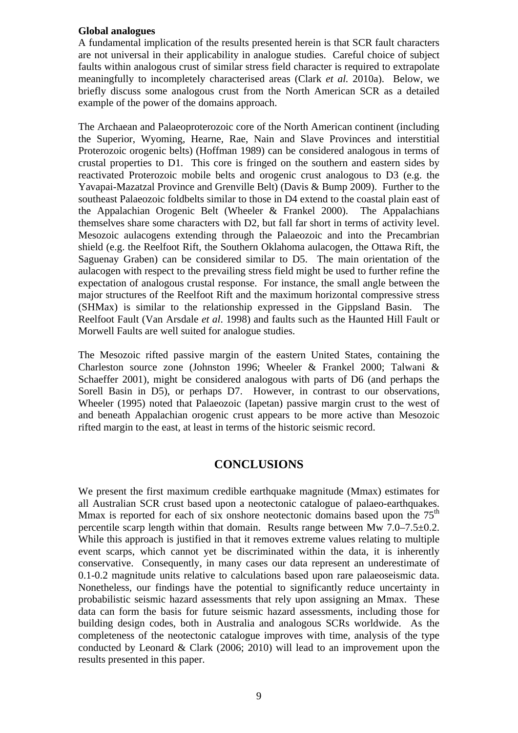#### **Global analogues**

A fundamental implication of the results presented herein is that SCR fault characters are not universal in their applicability in analogue studies. Careful choice of subject faults within analogous crust of similar stress field character is required to extrapolate meaningfully to incompletely characterised areas (Clark *et al.* 2010a). Below, we briefly discuss some analogous crust from the North American SCR as a detailed example of the power of the domains approach.

The Archaean and Palaeoproterozoic core of the North American continent (including the Superior, Wyoming, Hearne, Rae, Nain and Slave Provinces and interstitial Proterozoic orogenic belts) (Hoffman 1989) can be considered analogous in terms of crustal properties to D1. This core is fringed on the southern and eastern sides by reactivated Proterozoic mobile belts and orogenic crust analogous to D3 (e.g. the Yavapai-Mazatzal Province and Grenville Belt) (Davis & Bump 2009). Further to the southeast Palaeozoic foldbelts similar to those in D4 extend to the coastal plain east of the Appalachian Orogenic Belt (Wheeler & Frankel 2000). The Appalachians themselves share some characters with D2, but fall far short in terms of activity level. Mesozoic aulacogens extending through the Palaeozoic and into the Precambrian shield (e.g. the Reelfoot Rift, the Southern Oklahoma aulacogen, the Ottawa Rift, the Saguenay Graben) can be considered similar to D5. The main orientation of the aulacogen with respect to the prevailing stress field might be used to further refine the expectation of analogous crustal response. For instance, the small angle between the major structures of the Reelfoot Rift and the maximum horizontal compressive stress (SHMax) is similar to the relationship expressed in the Gippsland Basin. The Reelfoot Fault (Van Arsdale *et al*. 1998) and faults such as the Haunted Hill Fault or Morwell Faults are well suited for analogue studies.

The Mesozoic rifted passive margin of the eastern United States, containing the Charleston source zone (Johnston 1996; Wheeler & Frankel 2000; Talwani & Schaeffer 2001), might be considered analogous with parts of D6 (and perhaps the Sorell Basin in D5), or perhaps D7. However, in contrast to our observations, Wheeler (1995) noted that Palaeozoic (Iapetan) passive margin crust to the west of and beneath Appalachian orogenic crust appears to be more active than Mesozoic rifted margin to the east, at least in terms of the historic seismic record.

### **CONCLUSIONS**

We present the first maximum credible earthquake magnitude (Mmax) estimates for all Australian SCR crust based upon a neotectonic catalogue of palaeo-earthquakes. Mmax is reported for each of six onshore neotectonic domains based upon the  $75<sup>th</sup>$ percentile scarp length within that domain. Results range between Mw 7.0–7.5±0.2. While this approach is justified in that it removes extreme values relating to multiple event scarps, which cannot yet be discriminated within the data, it is inherently conservative. Consequently, in many cases our data represent an underestimate of 0.1-0.2 magnitude units relative to calculations based upon rare palaeoseismic data. Nonetheless, our findings have the potential to significantly reduce uncertainty in probabilistic seismic hazard assessments that rely upon assigning an Mmax. These data can form the basis for future seismic hazard assessments, including those for building design codes, both in Australia and analogous SCRs worldwide. As the completeness of the neotectonic catalogue improves with time, analysis of the type conducted by Leonard & Clark (2006; 2010) will lead to an improvement upon the results presented in this paper.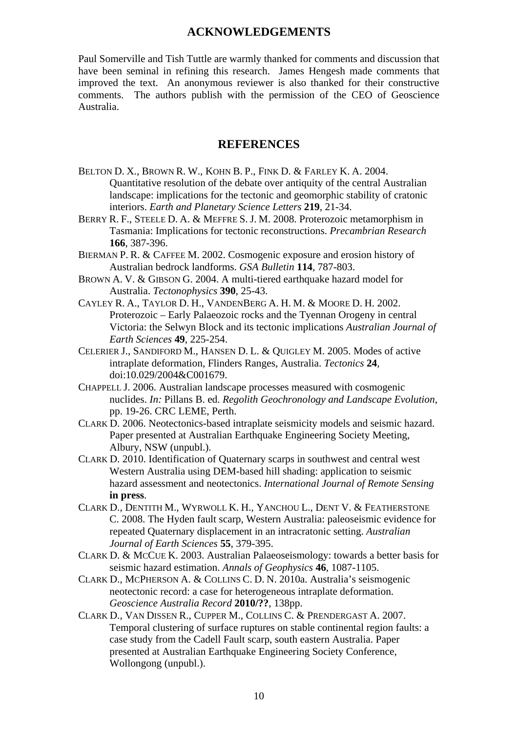### **ACKNOWLEDGEMENTS**

Paul Somerville and Tish Tuttle are warmly thanked for comments and discussion that have been seminal in refining this research. James Hengesh made comments that improved the text. An anonymous reviewer is also thanked for their constructive comments. The authors publish with the permission of the CEO of Geoscience Australia.

### **REFERENCES**

- BELTON D. X., BROWN R. W., KOHN B. P., FINK D. & FARLEY K. A. 2004. Quantitative resolution of the debate over antiquity of the central Australian landscape: implications for the tectonic and geomorphic stability of cratonic interiors. *Earth and Planetary Science Letters* **219**, 21-34.
- BERRY R. F., STEELE D. A. & MEFFRE S. J. M. 2008. Proterozoic metamorphism in Tasmania: Implications for tectonic reconstructions. *Precambrian Research* **166**, 387-396.
- BIERMAN P. R. & CAFFEE M. 2002. Cosmogenic exposure and erosion history of Australian bedrock landforms. *GSA Bulletin* **114**, 787-803.
- BROWN A. V. & GIBSON G. 2004. A multi-tiered earthquake hazard model for Australia. *Tectonophysics* **390**, 25-43.
- CAYLEY R. A., TAYLOR D. H., VANDENBERG A. H. M. & MOORE D. H. 2002. Proterozoic – Early Palaeozoic rocks and the Tyennan Orogeny in central Victoria: the Selwyn Block and its tectonic implications *Australian Journal of Earth Sciences* **49**, 225-254.
- CELERIER J., SANDIFORD M., HANSEN D. L. & QUIGLEY M. 2005. Modes of active intraplate deformation, Flinders Ranges, Australia. *Tectonics* **24**, doi:10.029/2004&C001679.
- CHAPPELL J. 2006. Australian landscape processes measured with cosmogenic nuclides. *In:* Pillans B. ed. *Regolith Geochronology and Landscape Evolution*, pp. 19-26. CRC LEME, Perth.
- CLARK D. 2006. Neotectonics-based intraplate seismicity models and seismic hazard. Paper presented at Australian Earthquake Engineering Society Meeting, Albury, NSW (unpubl.).
- CLARK D. 2010. Identification of Quaternary scarps in southwest and central west Western Australia using DEM-based hill shading: application to seismic hazard assessment and neotectonics. *International Journal of Remote Sensing* **in press**.
- CLARK D., DENTITH M., WYRWOLL K. H., YANCHOU L., DENT V. & FEATHERSTONE C. 2008. The Hyden fault scarp, Western Australia: paleoseismic evidence for repeated Quaternary displacement in an intracratonic setting. *Australian Journal of Earth Sciences* **55**, 379-395.
- CLARK D. & MCCUE K. 2003. Australian Palaeoseismology: towards a better basis for seismic hazard estimation. *Annals of Geophysics* **46**, 1087-1105.
- CLARK D., MCPHERSON A. & COLLINS C. D. N. 2010a. Australia's seismogenic neotectonic record: a case for heterogeneous intraplate deformation. *Geoscience Australia Record* **2010/??**, 138pp.
- CLARK D., VAN DISSEN R., CUPPER M., COLLINS C. & PRENDERGAST A. 2007. Temporal clustering of surface ruptures on stable continental region faults: a case study from the Cadell Fault scarp, south eastern Australia. Paper presented at Australian Earthquake Engineering Society Conference, Wollongong (unpubl.).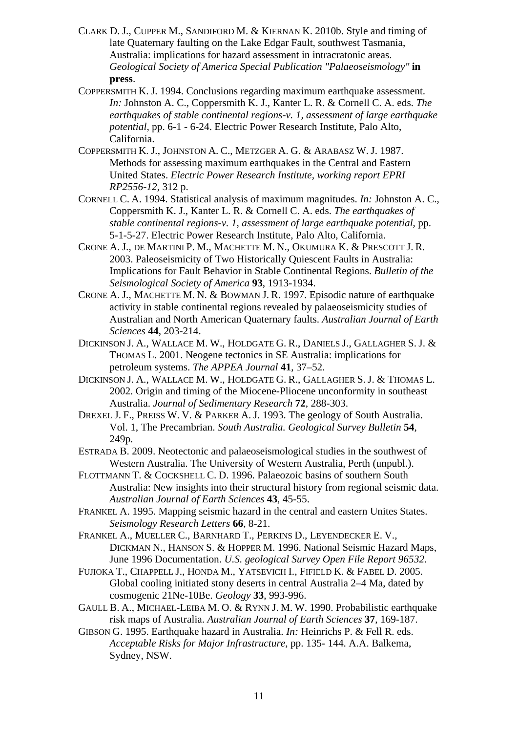- CLARK D. J., CUPPER M., SANDIFORD M. & KIERNAN K. 2010b. Style and timing of late Quaternary faulting on the Lake Edgar Fault, southwest Tasmania, Australia: implications for hazard assessment in intracratonic areas. *Geological Society of America Special Publication "Palaeoseismology"* **in press**.
- COPPERSMITH K. J. 1994. Conclusions regarding maximum earthquake assessment. *In:* Johnston A. C., Coppersmith K. J., Kanter L. R. & Cornell C. A. eds. *The earthquakes of stable continental regions-v. 1, assessment of large earthquake potential*, pp. 6-1 - 6-24. Electric Power Research Institute, Palo Alto, California.
- COPPERSMITH K. J., JOHNSTON A. C., METZGER A. G. & ARABASZ W. J. 1987. Methods for assessing maximum earthquakes in the Central and Eastern United States. *Electric Power Research Institute, working report EPRI RP2556-12*, 312 p.
- CORNELL C. A. 1994. Statistical analysis of maximum magnitudes. *In:* Johnston A. C., Coppersmith K. J., Kanter L. R. & Cornell C. A. eds. *The earthquakes of stable continental regions-v. 1, assessment of large earthquake potential*, pp. 5-1-5-27. Electric Power Research Institute, Palo Alto, California.
- CRONE A. J., DE MARTINI P. M., MACHETTE M. N., OKUMURA K. & PRESCOTT J. R. 2003. Paleoseismicity of Two Historically Quiescent Faults in Australia: Implications for Fault Behavior in Stable Continental Regions. *Bulletin of the Seismological Society of America* **93**, 1913-1934.
- CRONE A. J., MACHETTE M. N. & BOWMAN J. R. 1997. Episodic nature of earthquake activity in stable continental regions revealed by palaeoseismicity studies of Australian and North American Quaternary faults. *Australian Journal of Earth Sciences* **44**, 203-214.
- DICKINSON J. A., WALLACE M. W., HOLDGATE G. R., DANIELS J., GALLAGHER S. J. & THOMAS L. 2001. Neogene tectonics in SE Australia: implications for petroleum systems. *The APPEA Journal* **41**, 37–52.
- DICKINSON J. A., WALLACE M. W., HOLDGATE G. R., GALLAGHER S. J. & THOMAS L. 2002. Origin and timing of the Miocene-Pliocene unconformity in southeast Australia. *Journal of Sedimentary Research* **72**, 288-303.
- DREXEL J. F., PREISS W. V. & PARKER A. J. 1993. The geology of South Australia. Vol. 1, The Precambrian. *South Australia. Geological Survey Bulletin* **54**, 249p.
- ESTRADA B. 2009. Neotectonic and palaeoseismological studies in the southwest of Western Australia. The University of Western Australia, Perth (unpubl.).
- FLOTTMANN T. & COCKSHELL C. D. 1996. Palaeozoic basins of southern South Australia: New insights into their structural history from regional seismic data. *Australian Journal of Earth Sciences* **43**, 45-55.
- FRANKEL A. 1995. Mapping seismic hazard in the central and eastern Unites States. *Seismology Research Letters* **66**, 8-21.
- FRANKEL A., MUELLER C., BARNHARD T., PERKINS D., LEYENDECKER E. V., DICKMAN N., HANSON S. & HOPPER M. 1996. National Seismic Hazard Maps, June 1996 Documentation. *U.S. geological Survey Open File Report 96532*.
- FUJIOKA T., CHAPPELL J., HONDA M., YATSEVICH I., FIFIELD K. & FABEL D. 2005. Global cooling initiated stony deserts in central Australia 2–4 Ma, dated by cosmogenic 21Ne-10Be. *Geology* **33**, 993-996.
- GAULL B. A., MICHAEL-LEIBA M. O. & RYNN J. M. W. 1990. Probabilistic earthquake risk maps of Australia. *Australian Journal of Earth Sciences* **37**, 169-187.
- GIBSON G. 1995. Earthquake hazard in Australia. *In:* Heinrichs P. & Fell R. eds. *Acceptable Risks for Major Infrastructure*, pp. 135- 144. A.A. Balkema, Sydney, NSW.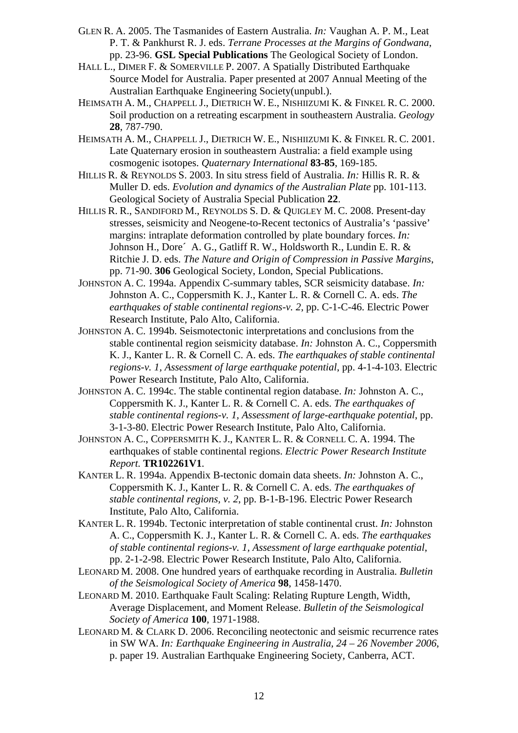- GLEN R. A. 2005. The Tasmanides of Eastern Australia. *In:* Vaughan A. P. M., Leat P. T. & Pankhurst R. J. eds. *Terrane Processes at the Margins of Gondwana*, pp. 23-96. **GSL Special Publications** The Geological Society of London.
- HALL L., DIMER F. & SOMERVILLE P. 2007. A Spatially Distributed Earthquake Source Model for Australia. Paper presented at 2007 Annual Meeting of the Australian Earthquake Engineering Society(unpubl.).
- HEIMSATH A. M., CHAPPELL J., DIETRICH W. E., NISHIIZUMI K. & FINKEL R. C. 2000. Soil production on a retreating escarpment in southeastern Australia. *Geology* **28**, 787-790.
- HEIMSATH A. M., CHAPPELL J., DIETRICH W. E., NISHIIZUMI K. & FINKEL R. C. 2001. Late Quaternary erosion in southeastern Australia: a field example using cosmogenic isotopes. *Quaternary International* **83-85**, 169-185.
- HILLIS R. & REYNOLDS S. 2003. In situ stress field of Australia. *In:* Hillis R. R. & Muller D. eds. *Evolution and dynamics of the Australian Plate* pp. 101-113. Geological Society of Australia Special Publication **22**.
- HILLIS R. R., SANDIFORD M., REYNOLDS S. D. & QUIGLEY M. C. 2008. Present-day stresses, seismicity and Neogene-to-Recent tectonics of Australia's 'passive' margins: intraplate deformation controlled by plate boundary forces. *In:* Johnson H., Dore´ A. G., Gatliff R. W., Holdsworth R., Lundin E. R. & Ritchie J. D. eds. *The Nature and Origin of Compression in Passive Margins*, pp. 71-90. **306** Geological Society, London, Special Publications.
- JOHNSTON A. C. 1994a. Appendix C-summary tables, SCR seismicity database. *In:* Johnston A. C., Coppersmith K. J., Kanter L. R. & Cornell C. A. eds. *The earthquakes of stable continental regions-v. 2*, pp. C-1-C-46. Electric Power Research Institute, Palo Alto, California.
- JOHNSTON A. C. 1994b. Seismotectonic interpretations and conclusions from the stable continental region seismicity database. *In:* Johnston A. C., Coppersmith K. J., Kanter L. R. & Cornell C. A. eds. *The earthquakes of stable continental regions-v. 1, Assessment of large earthquake potential*, pp. 4-1-4-103. Electric Power Research Institute, Palo Alto, California.
- JOHNSTON A. C. 1994c. The stable continental region database. *In:* Johnston A. C., Coppersmith K. J., Kanter L. R. & Cornell C. A. eds. *The earthquakes of stable continental regions-v. 1, Assessment of large-earthquake potential*, pp. 3-1-3-80. Electric Power Research Institute, Palo Alto, California.
- JOHNSTON A. C., COPPERSMITH K. J., KANTER L. R. & CORNELL C. A. 1994. The earthquakes of stable continental regions. *Electric Power Research Institute Report.* **TR102261V1**.
- KANTER L. R. 1994a. Appendix B-tectonic domain data sheets. *In:* Johnston A. C., Coppersmith K. J., Kanter L. R. & Cornell C. A. eds. *The earthquakes of stable continental regions, v. 2*, pp. B-1-B-196. Electric Power Research Institute, Palo Alto, California.
- KANTER L. R. 1994b. Tectonic interpretation of stable continental crust. *In:* Johnston A. C., Coppersmith K. J., Kanter L. R. & Cornell C. A. eds. *The earthquakes of stable continental regions-v. 1, Assessment of large earthquake potential*, pp. 2-1-2-98. Electric Power Research Institute, Palo Alto, California.
- LEONARD M. 2008. One hundred years of earthquake recording in Australia. *Bulletin of the Seismological Society of America* **98**, 1458-1470.
- LEONARD M. 2010. Earthquake Fault Scaling: Relating Rupture Length, Width, Average Displacement, and Moment Release. *Bulletin of the Seismological Society of America* **100**, 1971-1988.
- LEONARD M. & CLARK D. 2006. Reconciling neotectonic and seismic recurrence rates in SW WA. *In: Earthquake Engineering in Australia, 24 – 26 November 2006*, p. paper 19. Australian Earthquake Engineering Society, Canberra, ACT.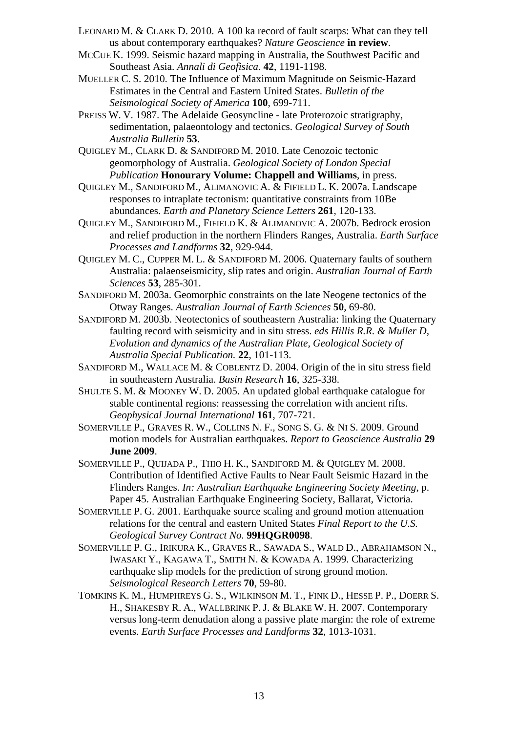- LEONARD M. & CLARK D. 2010. A 100 ka record of fault scarps: What can they tell us about contemporary earthquakes? *Nature Geoscience* **in review**.
- MCCUE K. 1999. Seismic hazard mapping in Australia, the Southwest Pacific and Southeast Asia. *Annali di Geofisica.* **42**, 1191-1198.

MUELLER C. S. 2010. The Influence of Maximum Magnitude on Seismic-Hazard Estimates in the Central and Eastern United States. *Bulletin of the Seismological Society of America* **100**, 699-711.

PREISS W. V. 1987. The Adelaide Geosyncline - late Proterozoic stratigraphy, sedimentation, palaeontology and tectonics. *Geological Survey of South Australia Bulletin* **53**.

QUIGLEY M., CLARK D. & SANDIFORD M. 2010. Late Cenozoic tectonic geomorphology of Australia. *Geological Society of London Special Publication* **Honourary Volume: Chappell and Williams**, in press.

QUIGLEY M., SANDIFORD M., ALIMANOVIC A. & FIFIELD L. K. 2007a. Landscape responses to intraplate tectonism: quantitative constraints from 10Be abundances. *Earth and Planetary Science Letters* **261**, 120-133.

QUIGLEY M., SANDIFORD M., FIFIELD K. & ALIMANOVIC A. 2007b. Bedrock erosion and relief production in the northern Flinders Ranges, Australia. *Earth Surface Processes and Landforms* **32**, 929-944.

QUIGLEY M. C., CUPPER M. L. & SANDIFORD M. 2006. Quaternary faults of southern Australia: palaeoseismicity, slip rates and origin. *Australian Journal of Earth Sciences* **53**, 285-301.

- SANDIFORD M. 2003a. Geomorphic constraints on the late Neogene tectonics of the Otway Ranges. *Australian Journal of Earth Sciences* **50**, 69-80.
- SANDIFORD M. 2003b. Neotectonics of southeastern Australia: linking the Quaternary faulting record with seismicity and in situ stress. *eds Hillis R.R. & Muller D, Evolution and dynamics of the Australian Plate, Geological Society of Australia Special Publication.* **22**, 101-113.
- SANDIFORD M., WALLACE M. & COBLENTZ D. 2004. Origin of the in situ stress field in southeastern Australia. *Basin Research* **16**, 325-338.
- SHULTE S. M. & MOONEY W. D. 2005. An updated global earthquake catalogue for stable continental regions: reassessing the correlation with ancient rifts. *Geophysical Journal International* **161**, 707-721.

SOMERVILLE P., GRAVES R. W., COLLINS N. F., SONG S. G. & NI S. 2009. Ground motion models for Australian earthquakes. *Report to Geoscience Australia* **29 June 2009**.

- SOMERVILLE P., QUIJADA P., THIO H. K., SANDIFORD M. & QUIGLEY M. 2008. Contribution of Identified Active Faults to Near Fault Seismic Hazard in the Flinders Ranges. *In: Australian Earthquake Engineering Society Meeting*, p. Paper 45. Australian Earthquake Engineering Society, Ballarat, Victoria.
- SOMERVILLE P. G. 2001. Earthquake source scaling and ground motion attenuation relations for the central and eastern United States *Final Report to the U.S. Geological Survey Contract No.* **99HQGR0098**.
- SOMERVILLE P. G., IRIKURA K., GRAVES R., SAWADA S., WALD D., ABRAHAMSON N., IWASAKI Y., KAGAWA T., SMITH N. & KOWADA A. 1999. Characterizing earthquake slip models for the prediction of strong ground motion. *Seismological Research Letters* **70**, 59-80.
- TOMKINS K. M., HUMPHREYS G. S., WILKINSON M. T., FINK D., HESSE P. P., DOERR S. H., SHAKESBY R. A., WALLBRINK P. J. & BLAKE W. H. 2007. Contemporary versus long-term denudation along a passive plate margin: the role of extreme events. *Earth Surface Processes and Landforms* **32**, 1013-1031.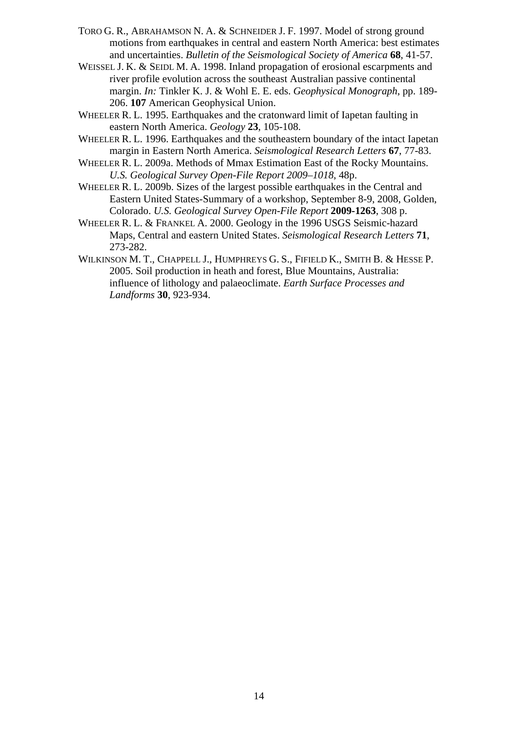- TORO G. R., ABRAHAMSON N. A. & SCHNEIDER J. F. 1997. Model of strong ground motions from earthquakes in central and eastern North America: best estimates and uncertainties. *Bulletin of the Seismological Society of America* **68**, 41-57.
- WEISSEL J. K. & SEIDL M. A. 1998. Inland propagation of erosional escarpments and river profile evolution across the southeast Australian passive continental margin. *In:* Tinkler K. J. & Wohl E. E. eds. *Geophysical Monograph*, pp. 189- 206. **107** American Geophysical Union.
- WHEELER R. L. 1995. Earthquakes and the cratonward limit of Iapetan faulting in eastern North America. *Geology* **23**, 105-108.
- WHEELER R. L. 1996. Earthquakes and the southeastern boundary of the intact Iapetan margin in Eastern North America. *Seismological Research Letters* **67**, 77-83.
- WHEELER R. L. 2009a. Methods of Mmax Estimation East of the Rocky Mountains. *U.S. Geological Survey Open-File Report 2009–1018*, 48p.
- WHEELER R. L. 2009b. Sizes of the largest possible earthquakes in the Central and Eastern United States-Summary of a workshop, September 8-9, 2008, Golden, Colorado. *U.S. Geological Survey Open-File Report* **2009-1263**, 308 p.
- WHEELER R. L. & FRANKEL A. 2000. Geology in the 1996 USGS Seismic-hazard Maps, Central and eastern United States. *Seismological Research Letters* **71**, 273-282.
- WILKINSON M. T., CHAPPELL J., HUMPHREYS G. S., FIFIELD K., SMITH B. & HESSE P. 2005. Soil production in heath and forest, Blue Mountains, Australia: influence of lithology and palaeoclimate. *Earth Surface Processes and Landforms* **30**, 923-934.